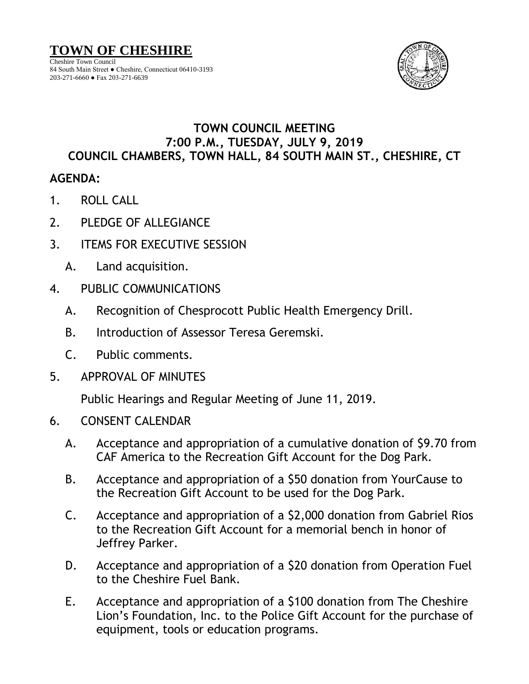## **TOWN OF CHESHIRE**

Cheshire Town Council 84 South Main Street ● Cheshire, Connecticut 06410-3193 203-271-6660 ● Fax 203-271-6639



## **TOWN COUNCIL MEETING 7:00 P.M., TUESDAY, JULY 9, 2019 COUNCIL CHAMBERS, TOWN HALL, 84 SOUTH MAIN ST., CHESHIRE, CT**

## **AGENDA:**

- 1. ROLL CALL
- 2. PLEDGE OF ALLEGIANCE
- 3. ITEMS FOR EXECUTIVE SESSION
	- A. Land acquisition.
- 4. PUBLIC COMMUNICATIONS
	- A. Recognition of Chesprocott Public Health Emergency Drill.
	- B. Introduction of Assessor Teresa Geremski.
	- C. Public comments.
- 5. APPROVAL OF MINUTES

Public Hearings and Regular Meeting of June 11, 2019.

- 6. CONSENT CALENDAR
	- A. Acceptance and appropriation of a cumulative donation of \$9.70 from CAF America to the Recreation Gift Account for the Dog Park.
	- B. Acceptance and appropriation of a \$50 donation from YourCause to the Recreation Gift Account to be used for the Dog Park.
	- C. Acceptance and appropriation of a \$2,000 donation from Gabriel Rios to the Recreation Gift Account for a memorial bench in honor of Jeffrey Parker.
	- D. Acceptance and appropriation of a \$20 donation from Operation Fuel to the Cheshire Fuel Bank.
	- E. Acceptance and appropriation of a \$100 donation from The Cheshire Lion's Foundation, Inc. to the Police Gift Account for the purchase of equipment, tools or education programs.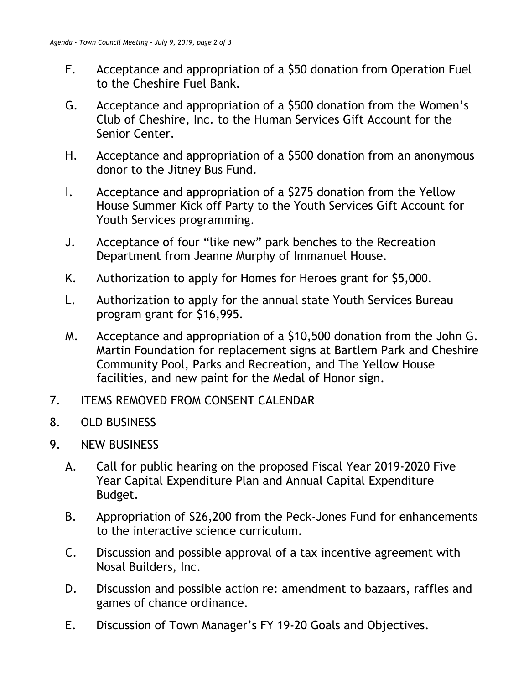- F. Acceptance and appropriation of a \$50 donation from Operation Fuel to the Cheshire Fuel Bank.
- G. Acceptance and appropriation of a \$500 donation from the Women's Club of Cheshire, Inc. to the Human Services Gift Account for the Senior Center.
- H. Acceptance and appropriation of a \$500 donation from an anonymous donor to the Jitney Bus Fund.
- I. Acceptance and appropriation of a \$275 donation from the Yellow House Summer Kick off Party to the Youth Services Gift Account for Youth Services programming.
- J. Acceptance of four "like new" park benches to the Recreation Department from Jeanne Murphy of Immanuel House.
- K. Authorization to apply for Homes for Heroes grant for \$5,000.
- L. Authorization to apply for the annual state Youth Services Bureau program grant for \$16,995.
- M. Acceptance and appropriation of a \$10,500 donation from the John G. Martin Foundation for replacement signs at Bartlem Park and Cheshire Community Pool, Parks and Recreation, and The Yellow House facilities, and new paint for the Medal of Honor sign.
- 7. ITEMS REMOVED FROM CONSENT CALENDAR
- 8. OLD BUSINESS
- 9. NEW BUSINESS
	- A. Call for public hearing on the proposed Fiscal Year 2019-2020 Five Year Capital Expenditure Plan and Annual Capital Expenditure Budget.
	- B. Appropriation of \$26,200 from the Peck-Jones Fund for enhancements to the interactive science curriculum.
	- C. Discussion and possible approval of a tax incentive agreement with Nosal Builders, Inc.
	- D. Discussion and possible action re: amendment to bazaars, raffles and games of chance ordinance.
	- E. Discussion of Town Manager's FY 19-20 Goals and Objectives.